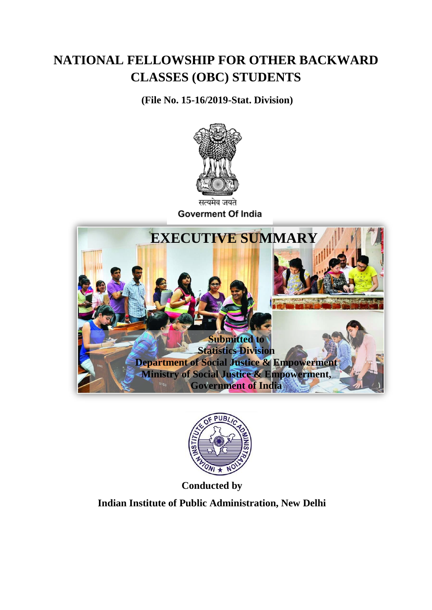## **NATIONAL FELLOWSHIP FOR OTHER BACKWARD CLASSES (OBC) STUDENTS**

**(File No. 15-16/2019-Stat. Division)**



**Goverment Of India** 





**Conducted by**

**Indian Institute of Public Administration, New Delhi**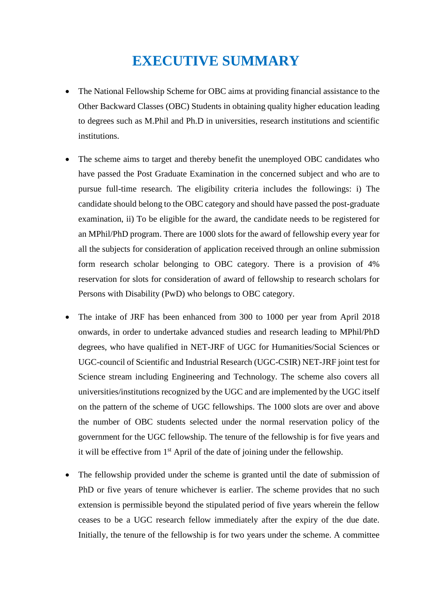## **EXECUTIVE SUMMARY**

- The National Fellowship Scheme for OBC aims at providing financial assistance to the Other Backward Classes (OBC) Students in obtaining quality higher education leading to degrees such as M.Phil and Ph.D in universities, research institutions and scientific institutions.
- The scheme aims to target and thereby benefit the unemployed OBC candidates who have passed the Post Graduate Examination in the concerned subject and who are to pursue full-time research. The eligibility criteria includes the followings: i) The candidate should belong to the OBC category and should have passed the post-graduate examination, ii) To be eligible for the award, the candidate needs to be registered for an MPhil/PhD program. There are 1000 slots for the award of fellowship every year for all the subjects for consideration of application received through an online submission form research scholar belonging to OBC category. There is a provision of 4% reservation for slots for consideration of award of fellowship to research scholars for Persons with Disability (PwD) who belongs to OBC category.
- The intake of JRF has been enhanced from 300 to 1000 per year from April 2018 onwards, in order to undertake advanced studies and research leading to MPhil/PhD degrees, who have qualified in NET-JRF of UGC for Humanities/Social Sciences or UGC-council of Scientific and Industrial Research (UGC-CSIR) NET-JRF joint test for Science stream including Engineering and Technology. The scheme also covers all universities/institutions recognized by the UGC and are implemented by the UGC itself on the pattern of the scheme of UGC fellowships. The 1000 slots are over and above the number of OBC students selected under the normal reservation policy of the government for the UGC fellowship. The tenure of the fellowship is for five years and it will be effective from  $1<sup>st</sup>$  April of the date of joining under the fellowship.
- The fellowship provided under the scheme is granted until the date of submission of PhD or five years of tenure whichever is earlier. The scheme provides that no such extension is permissible beyond the stipulated period of five years wherein the fellow ceases to be a UGC research fellow immediately after the expiry of the due date. Initially, the tenure of the fellowship is for two years under the scheme. A committee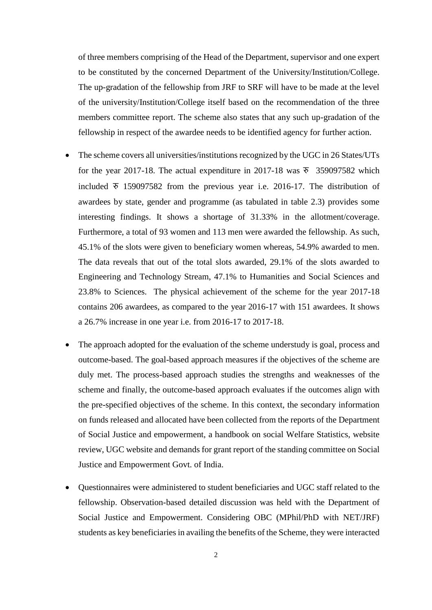of three members comprising of the Head of the Department, supervisor and one expert to be constituted by the concerned Department of the University/Institution/College. The up-gradation of the fellowship from JRF to SRF will have to be made at the level of the university/Institution/College itself based on the recommendation of the three members committee report. The scheme also states that any such up-gradation of the fellowship in respect of the awardee needs to be identified agency for further action.

- The scheme covers all universities/institutions recognized by the UGC in 26 States/UTs for the year 2017-18. The actual expenditure in 2017-18 was  $\overline{x}$  359097582 which included  $\overline{v}$  159097582 from the previous year i.e. 2016-17. The distribution of awardees by state, gender and programme (as tabulated in table 2.3) provides some interesting findings. It shows a shortage of 31.33% in the allotment/coverage. Furthermore, a total of 93 women and 113 men were awarded the fellowship. As such, 45.1% of the slots were given to beneficiary women whereas, 54.9% awarded to men. The data reveals that out of the total slots awarded, 29.1% of the slots awarded to Engineering and Technology Stream, 47.1% to Humanities and Social Sciences and 23.8% to Sciences. The physical achievement of the scheme for the year 2017-18 contains 206 awardees, as compared to the year 2016-17 with 151 awardees. It shows a 26.7% increase in one year i.e. from 2016-17 to 2017-18.
- The approach adopted for the evaluation of the scheme understudy is goal, process and outcome-based. The goal-based approach measures if the objectives of the scheme are duly met. The process-based approach studies the strengths and weaknesses of the scheme and finally, the outcome-based approach evaluates if the outcomes align with the pre-specified objectives of the scheme. In this context, the secondary information on funds released and allocated have been collected from the reports of the Department of Social Justice and empowerment, a handbook on social Welfare Statistics, website review, UGC website and demands for grant report of the standing committee on Social Justice and Empowerment Govt. of India.
- Questionnaires were administered to student beneficiaries and UGC staff related to the fellowship. Observation-based detailed discussion was held with the Department of Social Justice and Empowerment. Considering OBC (MPhil/PhD with NET/JRF) students as key beneficiaries in availing the benefits of the Scheme, they were interacted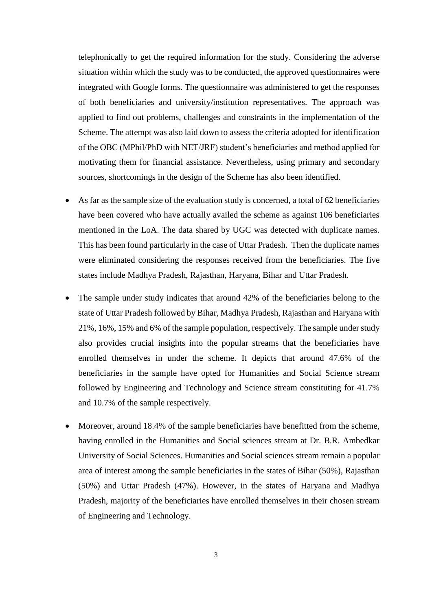telephonically to get the required information for the study. Considering the adverse situation within which the study was to be conducted, the approved questionnaires were integrated with Google forms. The questionnaire was administered to get the responses of both beneficiaries and university/institution representatives. The approach was applied to find out problems, challenges and constraints in the implementation of the Scheme. The attempt was also laid down to assess the criteria adopted for identification of the OBC (MPhil/PhD with NET/JRF) student's beneficiaries and method applied for motivating them for financial assistance. Nevertheless, using primary and secondary sources, shortcomings in the design of the Scheme has also been identified.

- As far as the sample size of the evaluation study is concerned, a total of 62 beneficiaries have been covered who have actually availed the scheme as against 106 beneficiaries mentioned in the LoA. The data shared by UGC was detected with duplicate names. This has been found particularly in the case of Uttar Pradesh. Then the duplicate names were eliminated considering the responses received from the beneficiaries. The five states include Madhya Pradesh, Rajasthan, Haryana, Bihar and Uttar Pradesh.
- The sample under study indicates that around 42% of the beneficiaries belong to the state of Uttar Pradesh followed by Bihar, Madhya Pradesh, Rajasthan and Haryana with 21%, 16%, 15% and 6% of the sample population, respectively. The sample under study also provides crucial insights into the popular streams that the beneficiaries have enrolled themselves in under the scheme. It depicts that around 47.6% of the beneficiaries in the sample have opted for Humanities and Social Science stream followed by Engineering and Technology and Science stream constituting for 41.7% and 10.7% of the sample respectively.
- Moreover, around 18.4% of the sample beneficiaries have benefitted from the scheme, having enrolled in the Humanities and Social sciences stream at Dr. B.R. Ambedkar University of Social Sciences. Humanities and Social sciences stream remain a popular area of interest among the sample beneficiaries in the states of Bihar (50%), Rajasthan (50%) and Uttar Pradesh (47%). However, in the states of Haryana and Madhya Pradesh, majority of the beneficiaries have enrolled themselves in their chosen stream of Engineering and Technology.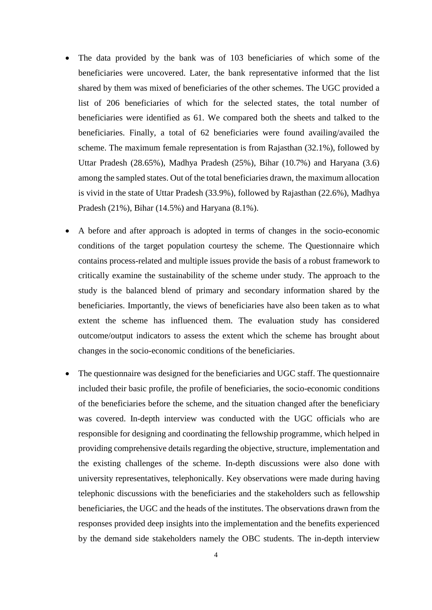- The data provided by the bank was of 103 beneficiaries of which some of the beneficiaries were uncovered. Later, the bank representative informed that the list shared by them was mixed of beneficiaries of the other schemes. The UGC provided a list of 206 beneficiaries of which for the selected states, the total number of beneficiaries were identified as 61. We compared both the sheets and talked to the beneficiaries. Finally, a total of 62 beneficiaries were found availing/availed the scheme. The maximum female representation is from Rajasthan (32.1%), followed by Uttar Pradesh (28.65%), Madhya Pradesh (25%), Bihar (10.7%) and Haryana (3.6) among the sampled states. Out of the total beneficiaries drawn, the maximum allocation is vivid in the state of Uttar Pradesh (33.9%), followed by Rajasthan (22.6%), Madhya Pradesh (21%), Bihar (14.5%) and Haryana (8.1%).
- A before and after approach is adopted in terms of changes in the socio-economic conditions of the target population courtesy the scheme. The Questionnaire which contains process-related and multiple issues provide the basis of a robust framework to critically examine the sustainability of the scheme under study. The approach to the study is the balanced blend of primary and secondary information shared by the beneficiaries. Importantly, the views of beneficiaries have also been taken as to what extent the scheme has influenced them. The evaluation study has considered outcome/output indicators to assess the extent which the scheme has brought about changes in the socio-economic conditions of the beneficiaries.
- The questionnaire was designed for the beneficiaries and UGC staff. The questionnaire included their basic profile, the profile of beneficiaries, the socio-economic conditions of the beneficiaries before the scheme, and the situation changed after the beneficiary was covered. In-depth interview was conducted with the UGC officials who are responsible for designing and coordinating the fellowship programme, which helped in providing comprehensive details regarding the objective, structure, implementation and the existing challenges of the scheme. In-depth discussions were also done with university representatives, telephonically. Key observations were made during having telephonic discussions with the beneficiaries and the stakeholders such as fellowship beneficiaries, the UGC and the heads of the institutes. The observations drawn from the responses provided deep insights into the implementation and the benefits experienced by the demand side stakeholders namely the OBC students. The in-depth interview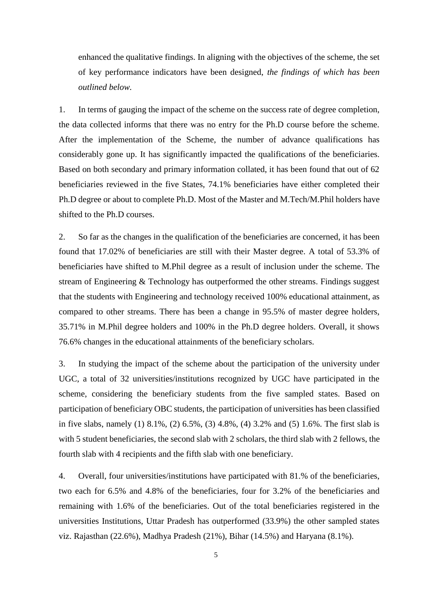enhanced the qualitative findings. In aligning with the objectives of the scheme, the set of key performance indicators have been designed, *the findings of which has been outlined below.* 

1. In terms of gauging the impact of the scheme on the success rate of degree completion, the data collected informs that there was no entry for the Ph.D course before the scheme. After the implementation of the Scheme, the number of advance qualifications has considerably gone up. It has significantly impacted the qualifications of the beneficiaries. Based on both secondary and primary information collated, it has been found that out of 62 beneficiaries reviewed in the five States, 74.1% beneficiaries have either completed their Ph.D degree or about to complete Ph.D. Most of the Master and M.Tech/M.Phil holders have shifted to the Ph.D courses.

2. So far as the changes in the qualification of the beneficiaries are concerned, it has been found that 17.02% of beneficiaries are still with their Master degree. A total of 53.3% of beneficiaries have shifted to M.Phil degree as a result of inclusion under the scheme. The stream of Engineering & Technology has outperformed the other streams. Findings suggest that the students with Engineering and technology received 100% educational attainment, as compared to other streams. There has been a change in 95.5% of master degree holders, 35.71% in M.Phil degree holders and 100% in the Ph.D degree holders. Overall, it shows 76.6% changes in the educational attainments of the beneficiary scholars.

3. In studying the impact of the scheme about the participation of the university under UGC, a total of 32 universities/institutions recognized by UGC have participated in the scheme, considering the beneficiary students from the five sampled states. Based on participation of beneficiary OBC students, the participation of universities has been classified in five slabs, namely (1) 8.1%, (2) 6.5%, (3) 4.8%, (4) 3.2% and (5) 1.6%. The first slab is with 5 student beneficiaries, the second slab with 2 scholars, the third slab with 2 fellows, the fourth slab with 4 recipients and the fifth slab with one beneficiary.

4. Overall, four universities/institutions have participated with 81.% of the beneficiaries, two each for 6.5% and 4.8% of the beneficiaries, four for 3.2% of the beneficiaries and remaining with 1.6% of the beneficiaries. Out of the total beneficiaries registered in the universities Institutions, Uttar Pradesh has outperformed (33.9%) the other sampled states viz. Rajasthan (22.6%), Madhya Pradesh (21%), Bihar (14.5%) and Haryana (8.1%).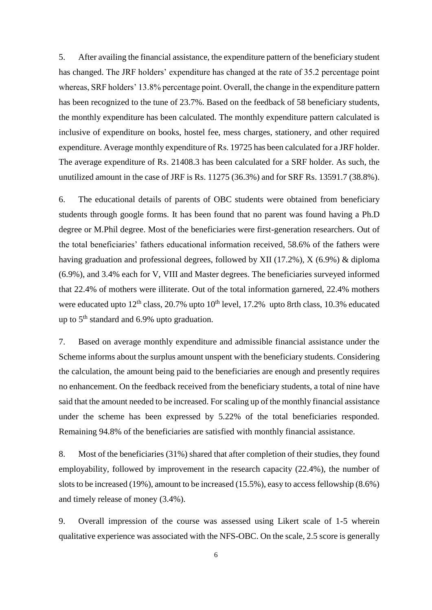5. After availing the financial assistance, the expenditure pattern of the beneficiary student has changed. The JRF holders' expenditure has changed at the rate of 35.2 percentage point whereas, SRF holders' 13.8% percentage point. Overall, the change in the expenditure pattern has been recognized to the tune of 23.7%. Based on the feedback of 58 beneficiary students, the monthly expenditure has been calculated. The monthly expenditure pattern calculated is inclusive of expenditure on books, hostel fee, mess charges, stationery, and other required expenditure. Average monthly expenditure of Rs. 19725 has been calculated for a JRF holder. The average expenditure of Rs. 21408.3 has been calculated for a SRF holder. As such, the unutilized amount in the case of JRF is Rs. 11275 (36.3%) and for SRF Rs. 13591.7 (38.8%).

6. The educational details of parents of OBC students were obtained from beneficiary students through google forms. It has been found that no parent was found having a Ph.D degree or M.Phil degree. Most of the beneficiaries were first-generation researchers. Out of the total beneficiaries' fathers educational information received, 58.6% of the fathers were having graduation and professional degrees, followed by XII (17.2%), X (6.9%) & diploma (6.9%), and 3.4% each for V, VIII and Master degrees. The beneficiaries surveyed informed that 22.4% of mothers were illiterate. Out of the total information garnered, 22.4% mothers were educated upto  $12<sup>th</sup>$  class, 20.7% upto 10<sup>th</sup> level, 17.2% upto 8rth class, 10.3% educated up to  $5<sup>th</sup>$  standard and 6.9% upto graduation.

7. Based on average monthly expenditure and admissible financial assistance under the Scheme informs about the surplus amount unspent with the beneficiary students. Considering the calculation, the amount being paid to the beneficiaries are enough and presently requires no enhancement. On the feedback received from the beneficiary students, a total of nine have said that the amount needed to be increased. For scaling up of the monthly financial assistance under the scheme has been expressed by 5.22% of the total beneficiaries responded. Remaining 94.8% of the beneficiaries are satisfied with monthly financial assistance.

8. Most of the beneficiaries (31%) shared that after completion of their studies, they found employability, followed by improvement in the research capacity (22.4%), the number of slots to be increased (19%), amount to be increased (15.5%), easy to access fellowship (8.6%) and timely release of money (3.4%).

9. Overall impression of the course was assessed using Likert scale of 1-5 wherein qualitative experience was associated with the NFS-OBC. On the scale, 2.5 score is generally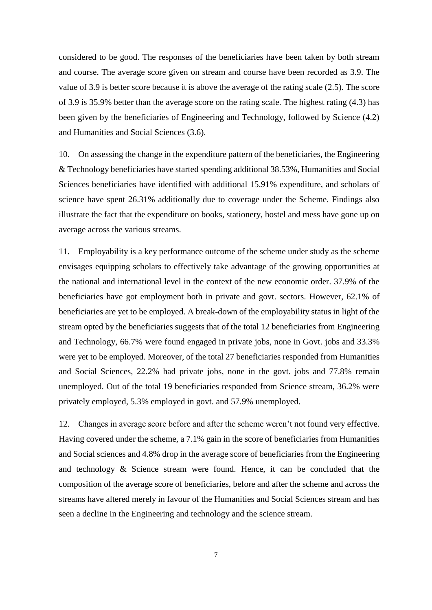considered to be good. The responses of the beneficiaries have been taken by both stream and course. The average score given on stream and course have been recorded as 3.9. The value of 3.9 is better score because it is above the average of the rating scale (2.5). The score of 3.9 is 35.9% better than the average score on the rating scale. The highest rating (4.3) has been given by the beneficiaries of Engineering and Technology, followed by Science (4.2) and Humanities and Social Sciences (3.6).

10. On assessing the change in the expenditure pattern of the beneficiaries, the Engineering & Technology beneficiaries have started spending additional 38.53%, Humanities and Social Sciences beneficiaries have identified with additional 15.91% expenditure, and scholars of science have spent 26.31% additionally due to coverage under the Scheme. Findings also illustrate the fact that the expenditure on books, stationery, hostel and mess have gone up on average across the various streams.

11. Employability is a key performance outcome of the scheme under study as the scheme envisages equipping scholars to effectively take advantage of the growing opportunities at the national and international level in the context of the new economic order. 37.9% of the beneficiaries have got employment both in private and govt. sectors. However, 62.1% of beneficiaries are yet to be employed. A break-down of the employability status in light of the stream opted by the beneficiaries suggests that of the total 12 beneficiaries from Engineering and Technology, 66.7% were found engaged in private jobs, none in Govt. jobs and 33.3% were yet to be employed. Moreover, of the total 27 beneficiaries responded from Humanities and Social Sciences, 22.2% had private jobs, none in the govt. jobs and 77.8% remain unemployed. Out of the total 19 beneficiaries responded from Science stream, 36.2% were privately employed, 5.3% employed in govt. and 57.9% unemployed.

12. Changes in average score before and after the scheme weren't not found very effective. Having covered under the scheme, a 7.1% gain in the score of beneficiaries from Humanities and Social sciences and 4.8% drop in the average score of beneficiaries from the Engineering and technology & Science stream were found. Hence, it can be concluded that the composition of the average score of beneficiaries, before and after the scheme and across the streams have altered merely in favour of the Humanities and Social Sciences stream and has seen a decline in the Engineering and technology and the science stream.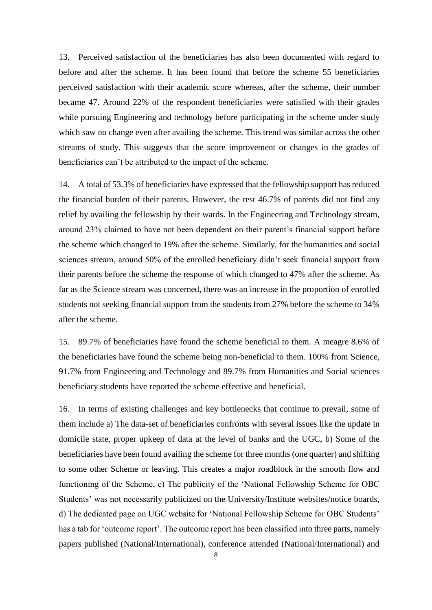13. Perceived satisfaction of the beneficiaries has also been documented with regard to before and after the scheme. It has been found that before the scheme 55 beneficiaries perceived satisfaction with their academic score whereas, after the scheme, their number became 47. Around 22% of the respondent beneficiaries were satisfied with their grades while pursuing Engineering and technology before participating in the scheme under study which saw no change even after availing the scheme. This trend was similar across the other streams of study. This suggests that the score improvement or changes in the grades of beneficiaries can't be attributed to the impact of the scheme.

14. A total of 53.3% of beneficiaries have expressed that the fellowship support has reduced the financial burden of their parents. However, the rest 46.7% of parents did not find any relief by availing the fellowship by their wards. In the Engineering and Technology stream, around 23% claimed to have not been dependent on their parent's financial support before the scheme which changed to 19% after the scheme. Similarly, for the humanities and social sciences stream, around 50% of the enrolled beneficiary didn't seek financial support from their parents before the scheme the response of which changed to 47% after the scheme. As far as the Science stream was concerned, there was an increase in the proportion of enrolled students not seeking financial support from the students from 27% before the scheme to 34% after the scheme.

15. 89.7% of beneficiaries have found the scheme beneficial to them. A meagre 8.6% of the beneficiaries have found the scheme being non-beneficial to them. 100% from Science, 91.7% from Engineering and Technology and 89.7% from Humanities and Social sciences beneficiary students have reported the scheme effective and beneficial.

16. In terms of existing challenges and key bottlenecks that continue to prevail, some of them include a) The data-set of beneficiaries confronts with several issues like the update in domicile state, proper upkeep of data at the level of banks and the UGC, b) Some of the beneficiaries have been found availing the scheme for three months (one quarter) and shifting to some other Scheme or leaving. This creates a major roadblock in the smooth flow and functioning of the Scheme, c) The publicity of the 'National Fellowship Scheme for OBC Students' was not necessarily publicized on the University/Institute websites/notice boards, d) The dedicated page on UGC website for 'National Fellowship Scheme for OBC Students' has a tab for 'outcome report'. The outcome report has been classified into three parts, namely papers published (National/International), conference attended (National/International) and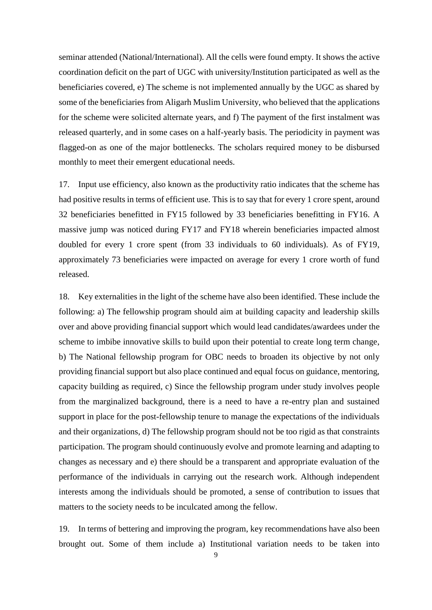seminar attended (National/International). All the cells were found empty. It shows the active coordination deficit on the part of UGC with university/Institution participated as well as the beneficiaries covered, e) The scheme is not implemented annually by the UGC as shared by some of the beneficiaries from Aligarh Muslim University, who believed that the applications for the scheme were solicited alternate years, and f) The payment of the first instalment was released quarterly, and in some cases on a half-yearly basis. The periodicity in payment was flagged-on as one of the major bottlenecks. The scholars required money to be disbursed monthly to meet their emergent educational needs.

17. Input use efficiency, also known as the productivity ratio indicates that the scheme has had positive results in terms of efficient use. This is to say that for every 1 crore spent, around 32 beneficiaries benefitted in FY15 followed by 33 beneficiaries benefitting in FY16. A massive jump was noticed during FY17 and FY18 wherein beneficiaries impacted almost doubled for every 1 crore spent (from 33 individuals to 60 individuals). As of FY19, approximately 73 beneficiaries were impacted on average for every 1 crore worth of fund released.

18. Key externalities in the light of the scheme have also been identified. These include the following: a) The fellowship program should aim at building capacity and leadership skills over and above providing financial support which would lead candidates/awardees under the scheme to imbibe innovative skills to build upon their potential to create long term change, b) The National fellowship program for OBC needs to broaden its objective by not only providing financial support but also place continued and equal focus on guidance, mentoring, capacity building as required, c) Since the fellowship program under study involves people from the marginalized background, there is a need to have a re-entry plan and sustained support in place for the post-fellowship tenure to manage the expectations of the individuals and their organizations, d) The fellowship program should not be too rigid as that constraints participation. The program should continuously evolve and promote learning and adapting to changes as necessary and e) there should be a transparent and appropriate evaluation of the performance of the individuals in carrying out the research work. Although independent interests among the individuals should be promoted, a sense of contribution to issues that matters to the society needs to be inculcated among the fellow.

19. In terms of bettering and improving the program, key recommendations have also been brought out. Some of them include a) Institutional variation needs to be taken into